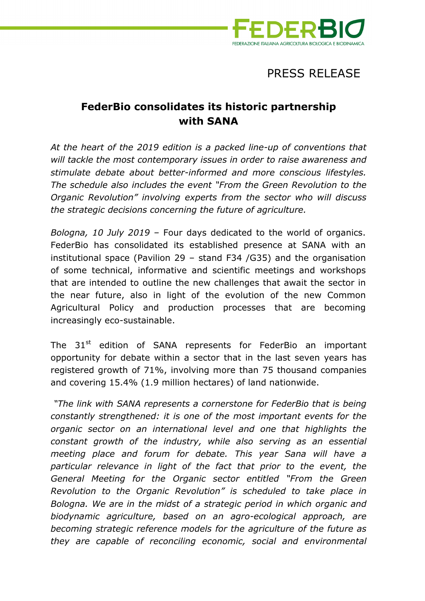

## PRESS RELEASE

## **FederBio consolidates its historic partnership with SANA**

*At the heart of the 2019 edition is a packed line-up of conventions that will tackle the most contemporary issues in order to raise awareness and stimulate debate about better-informed and more conscious lifestyles. The schedule also includes the event "From the Green Revolution to the Organic Revolution" involving experts from the sector who will discuss the strategic decisions concerning the future of agriculture.* 

*Bologna, 10 July 2019 –* Four days dedicated to the world of organics. FederBio has consolidated its established presence at SANA with an institutional space (Pavilion 29 – stand F34 /G35) and the organisation of some technical, informative and scientific meetings and workshops that are intended to outline the new challenges that await the sector in the near future, also in light of the evolution of the new Common Agricultural Policy and production processes that are becoming increasingly eco-sustainable.

The  $31<sup>st</sup>$  edition of SANA represents for FederBio an important opportunity for debate within a sector that in the last seven years has registered growth of 71%, involving more than 75 thousand companies and covering 15.4% (1.9 million hectares) of land nationwide.

 *"The link with SANA represents a cornerstone for FederBio that is being constantly strengthened: it is one of the most important events for the organic sector on an international level and one that highlights the constant growth of the industry, while also serving as an essential meeting place and forum for debate. This year Sana will have a particular relevance in light of the fact that prior to the event, the General Meeting for the Organic sector entitled "From the Green Revolution to the Organic Revolution" is scheduled to take place in Bologna. We are in the midst of a strategic period in which organic and biodynamic agriculture, based on an agro-ecological approach, are becoming strategic reference models for the agriculture of the future as they are capable of reconciling economic, social and environmental*